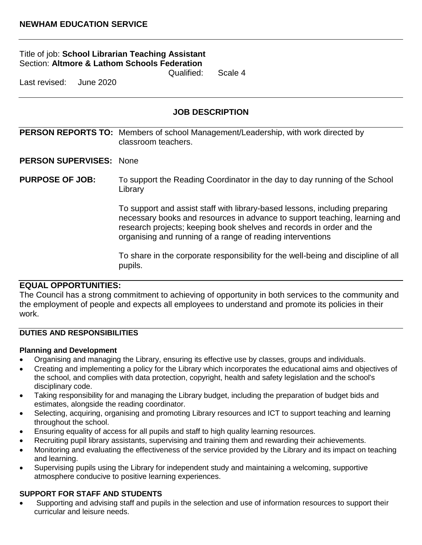## Title of job: **School Librarian Teaching Assistant**  Section: **Altmore & Lathom Schools Federation**

Qualified: Scale 4

Last revised: June 2020

## **JOB DESCRIPTION**

**PERSON REPORTS TO:** Members of school Management/Leadership, with work directed by classroom teachers.

#### **PERSON SUPERVISES:** None

**PURPOSE OF JOB:** To support the Reading Coordinator in the day to day running of the School Library

> To support and assist staff with library-based lessons, including preparing necessary books and resources in advance to support teaching, learning and research projects; keeping book shelves and records in order and the organising and running of a range of reading interventions

> To share in the corporate responsibility for the well-being and discipline of all pupils.

### **EQUAL OPPORTUNITIES:**

The Council has a strong commitment to achieving of opportunity in both services to the community and the employment of people and expects all employees to understand and promote its policies in their work.

### **DUTIES AND RESPONSIBILITIES**

#### **Planning and Development**

- Organising and managing the Library, ensuring its effective use by classes, groups and individuals.
- Creating and implementing a policy for the Library which incorporates the educational aims and objectives of the school, and complies with data protection, copyright, health and safety legislation and the school's disciplinary code.
- Taking responsibility for and managing the Library budget, including the preparation of budget bids and estimates, alongside the reading coordinator.
- Selecting, acquiring, organising and promoting Library resources and ICT to support teaching and learning throughout the school.
- Ensuring equality of access for all pupils and staff to high quality learning resources.
- Recruiting pupil library assistants, supervising and training them and rewarding their achievements.
- Monitoring and evaluating the effectiveness of the service provided by the Library and its impact on teaching and learning.
- Supervising pupils using the Library for independent study and maintaining a welcoming, supportive atmosphere conducive to positive learning experiences.

#### **SUPPORT FOR STAFF AND STUDENTS**

 Supporting and advising staff and pupils in the selection and use of information resources to support their curricular and leisure needs.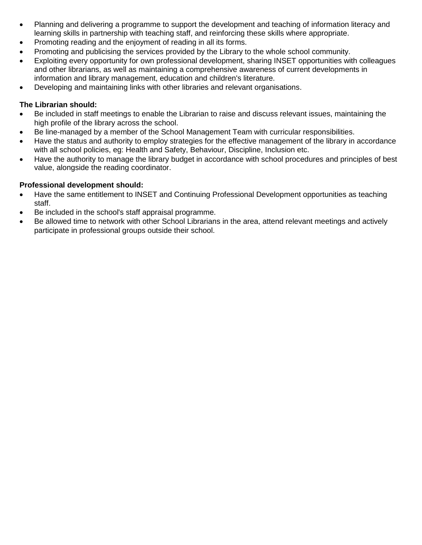- Planning and delivering a programme to support the development and teaching of information literacy and learning skills in partnership with teaching staff, and reinforcing these skills where appropriate.
- Promoting reading and the enjoyment of reading in all its forms.
- Promoting and publicising the services provided by the Library to the whole school community.
- Exploiting every opportunity for own professional development, sharing INSET opportunities with colleagues and other librarians, as well as maintaining a comprehensive awareness of current developments in information and library management, education and children's literature.
- Developing and maintaining links with other libraries and relevant organisations.

## **The Librarian should:**

- Be included in staff meetings to enable the Librarian to raise and discuss relevant issues, maintaining the high profile of the library across the school.
- Be line-managed by a member of the School Management Team with curricular responsibilities.
- Have the status and authority to employ strategies for the effective management of the library in accordance with all school policies, eg: Health and Safety, Behaviour, Discipline, Inclusion etc.
- Have the authority to manage the library budget in accordance with school procedures and principles of best value, alongside the reading coordinator.

## **Professional development should:**

- Have the same entitlement to INSET and Continuing Professional Development opportunities as teaching staff.
- Be included in the school's staff appraisal programme.
- Be allowed time to network with other School Librarians in the area, attend relevant meetings and actively participate in professional groups outside their school.